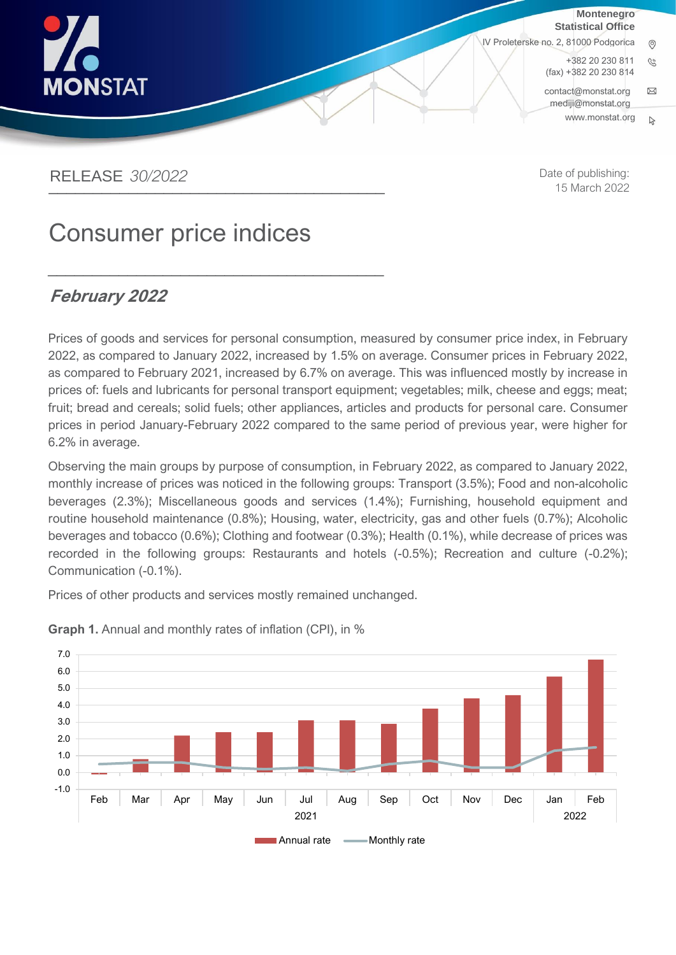

**Montenegro Statistical Office**

IV Proleterske no. 2, 81000 Podgorica

+382 20 230 811  $\mathcal{C}$ (fax) +382 20 230 814 [contact@monstat.org](mailto:contact@monstat.org)  $\boxtimes$ [mediji@monstat.org](mailto:mediji@monstat.org)

www.[monstat](http://www.monstat.org/).org $\mathbb{R}$ 

### RELEASE *30/2022*  \_\_\_\_\_\_\_\_\_\_\_\_\_\_\_\_\_\_\_\_\_\_\_\_\_\_\_\_\_\_\_\_\_\_\_\_\_\_

Date of publishing: 15 March 2022

# Consumer price indices

\_\_\_\_\_\_\_\_\_\_\_\_\_\_\_\_\_\_\_\_\_\_\_\_\_\_\_\_\_\_\_\_\_\_\_\_\_\_

#### **February 2022**  $E_{ab}$

Prices of goods and services for personal consumption, measured by consumer price index, in February 2022, as compared to January 2022, increased by 1.5% on average. Consumer prices in February 2022, as compared to February 2021, increased by 6.7% on average. This was influenced mostly by increase in prices of: fuels and lubricants for personal transport equipment; vegetables; milk, cheese and eggs; meat; fruit; bread and cereals; solid fuels; other appliances, articles and products for personal care. Consumer prices in period January-February 2022 compared to the same period of previous year, were higher for 6.2% in average.

Observing the main groups by purpose of consumption, in February 2022, as compared to January 2022, monthly increase of prices was noticed in the following groups: Transport (3.5%); Food and non-alcoholic beverages (2.3%); Miscellaneous goods and services (1.4%); Furnishing, household equipment and routine household maintenance (0.8%); Housing, water, electricity, gas and other fuels (0.7%); Alcoholic beverages and tobacco (0.6%); Clothing and footwear (0.3%); Health (0.1%), while decrease of prices was recorded in the following groups: Restaurants and hotels (-0.5%); Recreation and culture (-0.2%); Communication (-0.1%).

Prices of other products and services mostly remained unchanged.



**Graph 1.** Annual and monthly rates of inflation (CPI), in %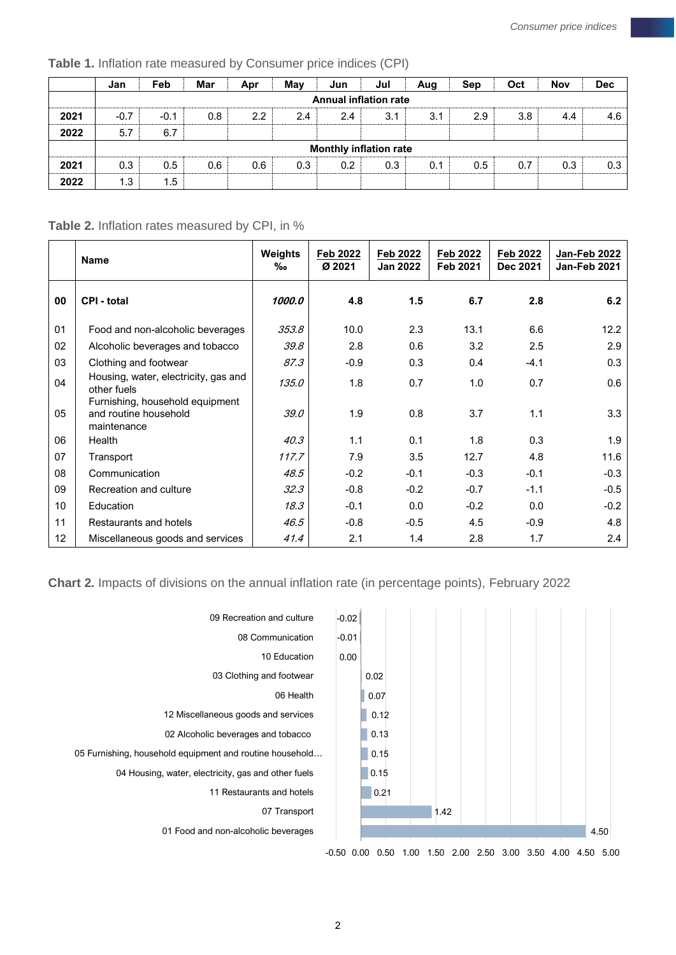|      | Jan                           | Feb                          | Mar | Apr | May | Jun | Jul | Aug | Sep | Oct | Nov | <b>Dec</b> |
|------|-------------------------------|------------------------------|-----|-----|-----|-----|-----|-----|-----|-----|-----|------------|
|      |                               | <b>Annual inflation rate</b> |     |     |     |     |     |     |     |     |     |            |
| 2021 | $-0.7$                        | $-0.1$                       | 0.8 | 2.2 | 2.4 | 2.4 | 3.1 | 3.1 | 2.9 | 3.8 | 4.4 | 4.6        |
| 2022 | 5.7                           | 6.7                          |     |     |     |     |     |     |     |     |     |            |
|      | <b>Monthly inflation rate</b> |                              |     |     |     |     |     |     |     |     |     |            |
| 2021 | 0.3                           | 0.5                          | 0.6 | 0.6 | 0.3 | 0.2 | 0.3 | 0.1 | 0.5 | 0.7 | 0.3 | 0.3        |
| 2022 | 1.3                           | 1.5                          |     |     |     |     |     |     |     |     |     |            |

#### **Table 1.** Inflation rate measured by Consumer price indices (CPI)

#### **Table 2.** Inflation rates measured by CPI, in %

|                 | <b>Name</b>                                                             | Weights<br>‰ | Feb 2022<br>Ø 2021 | Feb 2022<br><b>Jan 2022</b> | Feb 2022<br>Feb 2021 | Feb 2022<br>Dec 2021 | Jan-Feb 2022<br>Jan-Feb 2021 |
|-----------------|-------------------------------------------------------------------------|--------------|--------------------|-----------------------------|----------------------|----------------------|------------------------------|
| 00              | <b>CPI - total</b>                                                      | 1000.0       | 4.8                | $1.5$                       | 6.7                  | 2.8                  | 6.2                          |
| 01              | Food and non-alcoholic beverages                                        | 353.8        | 10.0               | 2.3                         | 13.1                 | 6.6                  | 12.2                         |
| 02              | Alcoholic beverages and tobacco                                         | 39.8         | 2.8                | 0.6                         | 3.2                  | 2.5                  | 2.9                          |
| 03              | Clothing and footwear                                                   | 87.3         | $-0.9$             | 0.3                         | 0.4                  | $-4.1$               | 0.3                          |
| 04              | Housing, water, electricity, gas and<br>other fuels                     | 135.0        | 1.8                | 0.7                         | 1.0                  | 0.7                  | 0.6                          |
| 05              | Furnishing, household equipment<br>and routine household<br>maintenance | 39.0         | 1.9                | 0.8                         | 3.7                  | 1.1                  | 3.3                          |
| 06              | Health                                                                  | 40.3         | 1.1                | 0.1                         | 1.8                  | 0.3                  | 1.9                          |
| 07              | Transport                                                               | 117.7        | 7.9                | 3.5                         | 12.7                 | 4.8                  | 11.6                         |
| 08              | Communication                                                           | 48.5         | $-0.2$             | $-0.1$                      | $-0.3$               | $-0.1$               | $-0.3$                       |
| 09              | Recreation and culture                                                  | 32.3         | $-0.8$             | $-0.2$                      | $-0.7$               | $-1.1$               | $-0.5$                       |
| 10              | Education                                                               | 18.3         | $-0.1$             | 0.0                         | $-0.2$               | 0.0                  | $-0.2$                       |
| 11              | Restaurants and hotels                                                  | 46.5         | $-0.8$             | $-0.5$                      | 4.5                  | $-0.9$               | 4.8                          |
| 12 <sup>2</sup> | Miscellaneous goods and services                                        | 41.4         | 2.1                | 1.4                         | 2.8                  | 1.7                  | 2.4                          |

**Chart 2.** Impacts of divisions on the annual inflation rate (in percentage points), February 2022

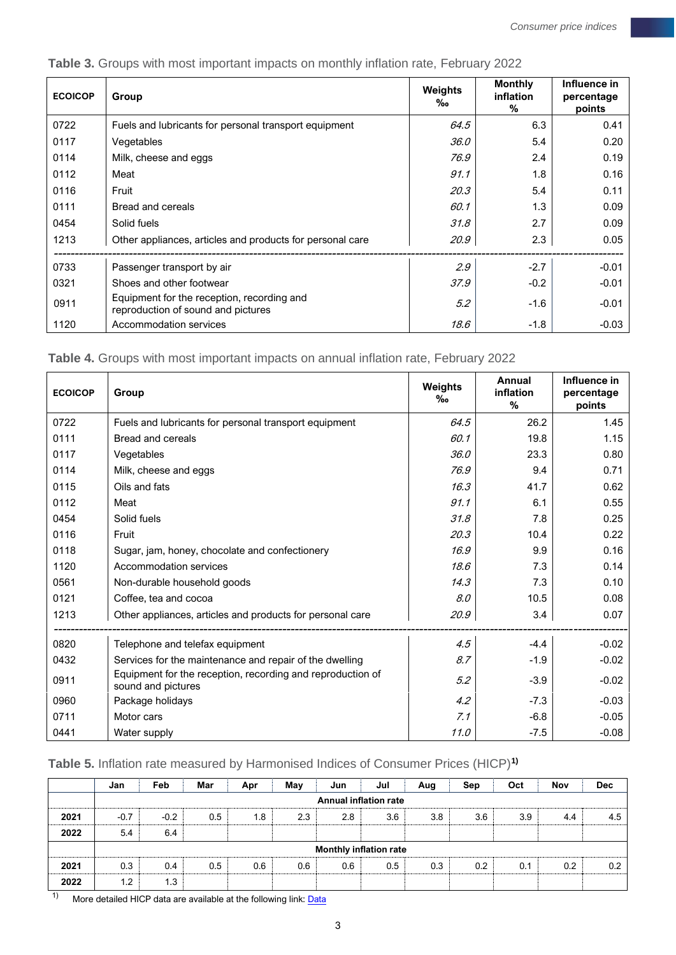| <b>ECOICOP</b> | Group                                                                            | <b>Weights</b><br>‰ | <b>Monthly</b><br>inflation<br>$\%$ | Influence in<br>percentage<br>points |  |
|----------------|----------------------------------------------------------------------------------|---------------------|-------------------------------------|--------------------------------------|--|
| 0722           | Fuels and lubricants for personal transport equipment                            | 64.5                | 6.3                                 | 0.41                                 |  |
| 0117           | Vegetables                                                                       | 36.0                | 5.4                                 | 0.20                                 |  |
| 0114           | Milk, cheese and eggs                                                            | 76.9                | 2.4                                 | 0.19                                 |  |
| 0112           | Meat                                                                             | 91.1                | 1.8                                 | 0.16                                 |  |
| 0116           | Fruit                                                                            | 20.3                | 5.4                                 | 0.11                                 |  |
| 0111           | Bread and cereals                                                                | 60.1                | 1.3                                 | 0.09                                 |  |
| 0454           | Solid fuels                                                                      | 31.8                | 2.7                                 | 0.09                                 |  |
| 1213           | Other appliances, articles and products for personal care                        | 20.9                | 2.3                                 | 0.05                                 |  |
| 0733           | Passenger transport by air                                                       | 2.9                 | $-2.7$                              | $-0.01$                              |  |
| 0321           | Shoes and other footwear                                                         | 37.9                | $-0.2$                              | $-0.01$                              |  |
| 0911           | Equipment for the reception, recording and<br>reproduction of sound and pictures | 5.2                 | $-1.6$                              | $-0.01$                              |  |
| 1120           | Accommodation services                                                           | 18.6                | -1.8                                | $-0.03$                              |  |

## **Table 3.** Groups with most important impacts on monthly inflation rate, February 2022

**Table 4.** Groups with most important impacts on annual inflation rate, February 2022

| <b>ECOICOP</b> | Group                                                                            | Weights<br>‰ | <b>Annual</b><br>inflation<br>% | Influence in<br>percentage<br>points |
|----------------|----------------------------------------------------------------------------------|--------------|---------------------------------|--------------------------------------|
| 0722           | Fuels and lubricants for personal transport equipment                            | 64.5         | 26.2                            | 1.45                                 |
| 0111           | Bread and cereals                                                                | 60.1         | 19.8                            | 1.15                                 |
| 0117           | Vegetables                                                                       | 36.0         | 23.3                            | 0.80                                 |
| 0114           | Milk, cheese and eggs                                                            | 76.9         | 9.4                             | 0.71                                 |
| 0115           | Oils and fats                                                                    | 16.3         | 41.7                            | 0.62                                 |
| 0112           | Meat                                                                             | 91.1         | 6.1                             | 0.55                                 |
| 0454           | Solid fuels                                                                      | 31.8         | 7.8                             | 0.25                                 |
| 0116           | Fruit                                                                            | 20.3         | 10.4                            | 0.22                                 |
| 0118           | Sugar, jam, honey, chocolate and confectionery                                   | 16.9         | 9.9                             | 0.16                                 |
| 1120           | Accommodation services                                                           | 18.6         | 7.3                             | 0.14                                 |
| 0561           | Non-durable household goods                                                      | 14.3         | 7.3                             | 0.10                                 |
| 0121           | Coffee, tea and cocoa                                                            | 8.0          | 10.5                            | 0.08                                 |
| 1213           | Other appliances, articles and products for personal care                        | 20.9         | 3.4                             | 0.07                                 |
| 0820           | Telephone and telefax equipment                                                  | 4.5          | $-4.4$                          | $-0.02$                              |
| 0432           | Services for the maintenance and repair of the dwelling                          | 8.7          | $-1.9$                          | $-0.02$                              |
| 0911           | Equipment for the reception, recording and reproduction of<br>sound and pictures | 5.2          | $-3.9$                          | $-0.02$                              |
| 0960           | Package holidays                                                                 | 4.2          | $-7.3$                          | $-0.03$                              |
| 0711           | Motor cars                                                                       | 7.1          | $-6.8$                          | $-0.05$                              |
| 0441           | Water supply                                                                     | 11.0         | $-7.5$                          | $-0.08$                              |

## **Table 5.** Inflation rate measured by Harmonised Indices of Consumer Prices (HICP)**1)**

|      | Jan    | Feb                           | Mar | Apr | May | Jun | Jul | Aug | Sep | Oct | Nov | Dec |
|------|--------|-------------------------------|-----|-----|-----|-----|-----|-----|-----|-----|-----|-----|
|      |        | <b>Annual inflation rate</b>  |     |     |     |     |     |     |     |     |     |     |
| 2021 | $-0.7$ | $-0.2$                        | 0.5 | 1.8 | 2.3 | 2.8 | 3.6 | 3.8 | 3.6 | 3.9 | 4.4 | 4.5 |
| 2022 | 5.4    | 6.4                           |     |     |     |     |     |     |     |     |     |     |
|      |        | <b>Monthly inflation rate</b> |     |     |     |     |     |     |     |     |     |     |
| 2021 | 0.3    | 0.4                           | 0.5 | 0.6 | 0.6 | 0.6 | 0.5 | 0.3 | 0.2 | 0.1 | 0.2 | 0.2 |
| 2022 | 1.2    | 1.3                           |     |     |     |     |     |     |     |     |     |     |

 $1)$  More detailed HICP data are available at the following link:  $\overline{\text{Data}}$  $\overline{\text{Data}}$  $\overline{\text{Data}}$